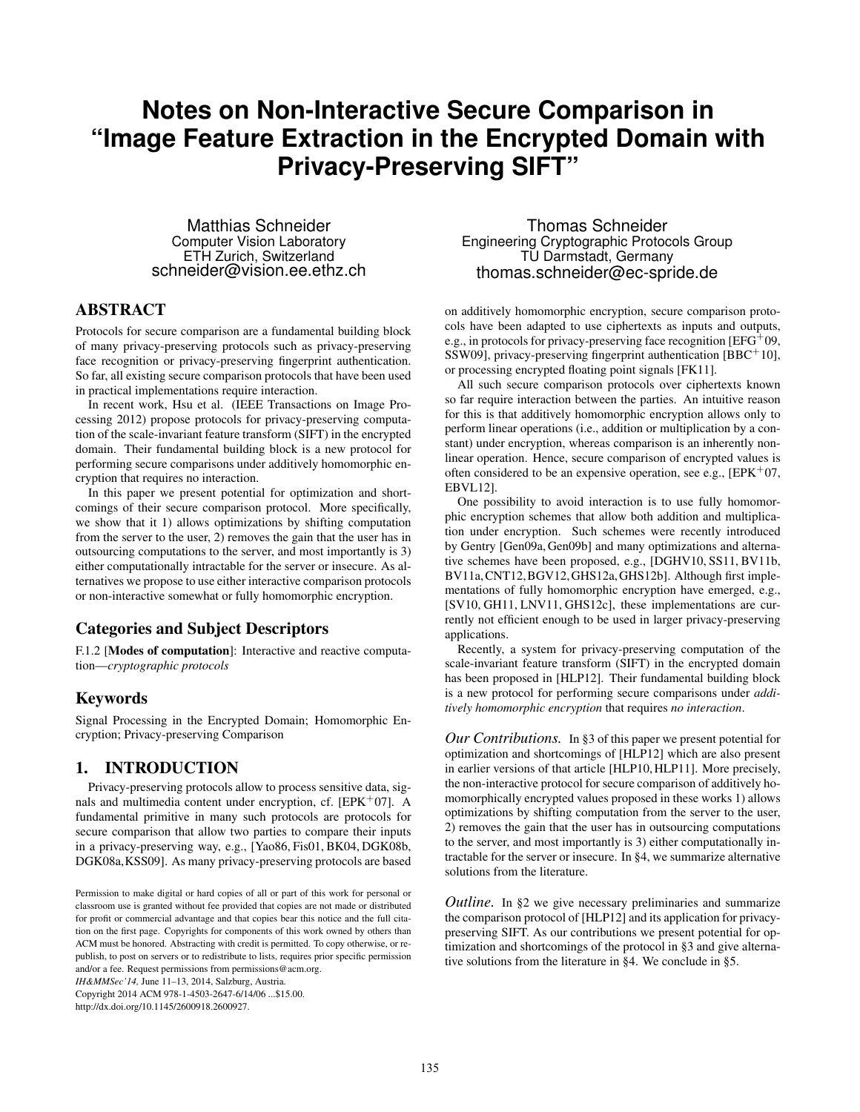# **Notes on Non-Interactive Secure Comparison in "Image Feature Extraction in the Encrypted Domain with Privacy-Preserving SIFT"**

Matthias Schneider Computer Vision Laboratory ETH Zurich, Switzerland schneider@vision.ee.ethz.ch

## ABSTRACT

Protocols for secure comparison are a fundamental building block of many privacy-preserving protocols such as privacy-preserving face recognition or privacy-preserving fingerprint authentication. So far, all existing secure comparison protocols that have been used in practical implementations require interaction.

In recent work, Hsu et al. (IEEE Transactions on Image Processing 2012) propose protocols for privacy-preserving computation of the scale-invariant feature transform (SIFT) in the encrypted domain. Their fundamental building block is a new protocol for performing secure comparisons under additively homomorphic encryption that requires no interaction.

In this paper we present potential for optimization and shortcomings of their secure comparison protocol. More specifically, we show that it 1) allows optimizations by shifting computation from the server to the user, 2) removes the gain that the user has in outsourcing computations to the server, and most importantly is 3) either computationally intractable for the server or insecure. As alternatives we propose to use either interactive comparison protocols or non-interactive somewhat or fully homomorphic encryption.

## Categories and Subject Descriptors

F.1.2 [Modes of computation]: Interactive and reactive computation—*cryptographic protocols*

#### Keywords

Signal Processing in the Encrypted Domain; Homomorphic Encryption; Privacy-preserving Comparison

## <span id="page-0-0"></span>1. INTRODUCTION

Privacy-preserving protocols allow to process sensitive data, signals and multimedia content under encryption, cf.  $[EPK<sup>+</sup>07]$  $[EPK<sup>+</sup>07]$ . A fundamental primitive in many such protocols are protocols for secure comparison that allow two parties to compare their inputs in a privacy-preserving way, e.g., [\[Yao86,](#page-5-0) [Fis01,](#page-4-1) [BK04,](#page-3-0) [DGK08b,](#page-4-2) [DGK08a,](#page-4-3)[KSS09\]](#page-4-4). As many privacy-preserving protocols are based

*IH&MMSec'14,* June 11–13, 2014, Salzburg, Austria. Copyright 2014 ACM 978-1-4503-2647-6/14/06 ...\$15.00.

http://dx.doi.org/10.1145/2600918.2600927.

Thomas Schneider Engineering Cryptographic Protocols Group TU Darmstadt, Germany thomas.schneider@ec-spride.de

on additively homomorphic encryption, secure comparison protocols have been adapted to use ciphertexts as inputs and outputs, e.g., in protocols for privacy-preserving face recognition  $[EFG^+09,$  $[EFG^+09,$ [SSW09\]](#page-5-1), privacy-preserving fingerprint authentication [\[BBC](#page-3-1)<sup>+</sup>10], or processing encrypted floating point signals [\[FK11\]](#page-4-6).

All such secure comparison protocols over ciphertexts known so far require interaction between the parties. An intuitive reason for this is that additively homomorphic encryption allows only to perform linear operations (i.e., addition or multiplication by a constant) under encryption, whereas comparison is an inherently nonlinear operation. Hence, secure comparison of encrypted values is often considered to be an expensive operation, see e.g.,  $[EPK^+07,$  $[EPK^+07,$ [EBVL12\]](#page-4-7).

One possibility to avoid interaction is to use fully homomorphic encryption schemes that allow both addition and multiplication under encryption. Such schemes were recently introduced by Gentry [\[Gen09a,](#page-4-8) [Gen09b\]](#page-4-9) and many optimizations and alternative schemes have been proposed, e.g., [\[DGHV10,](#page-4-10) [SS11,](#page-5-2) [BV11b,](#page-3-2) [BV11a,](#page-3-3)[CNT12,](#page-3-4)[BGV12,](#page-3-5)[GHS12a,](#page-4-11)[GHS12b\]](#page-4-12). Although first implementations of fully homomorphic encryption have emerged, e.g., [\[SV10,](#page-5-3) [GH11,](#page-4-13) [LNV11,](#page-4-14) [GHS12c\]](#page-4-15), these implementations are currently not efficient enough to be used in larger privacy-preserving applications.

Recently, a system for privacy-preserving computation of the scale-invariant feature transform (SIFT) in the encrypted domain has been proposed in [\[HLP12\]](#page-4-16). Their fundamental building block is a new protocol for performing secure comparisons under *additively homomorphic encryption* that requires *no interaction*.

*Our Contributions.* In [§3](#page-1-0) of this paper we present potential for optimization and shortcomings of [\[HLP12\]](#page-4-16) which are also present in earlier versions of that article [\[HLP10,](#page-4-17) [HLP11\]](#page-4-18). More precisely, the non-interactive protocol for secure comparison of additively homomorphically encrypted values proposed in these works 1) allows optimizations by shifting computation from the server to the user, 2) removes the gain that the user has in outsourcing computations to the server, and most importantly is 3) either computationally intractable for the server or insecure. In [§4,](#page-2-0) we summarize alternative solutions from the literature.

*Outline*. In [§2](#page-1-1) we give necessary preliminaries and summarize the comparison protocol of [\[HLP12\]](#page-4-16) and its application for privacypreserving SIFT. As our contributions we present potential for optimization and shortcomings of the protocol in [§3](#page-1-0) and give alternative solutions from the literature in [§4.](#page-2-0) We conclude in [§5.](#page-3-6)

Permission to make digital or hard copies of all or part of this work for personal or classroom use is granted without fee provided that copies are not made or distributed for profit or commercial advantage and that copies bear this notice and the full citation on the first page. Copyrights for components of this work owned by others than ACM must be honored. Abstracting with credit is permitted. To copy otherwise, or republish, to post on servers or to redistribute to lists, requires prior specific permission and/or a fee. Request permissions from permissions@acm.org.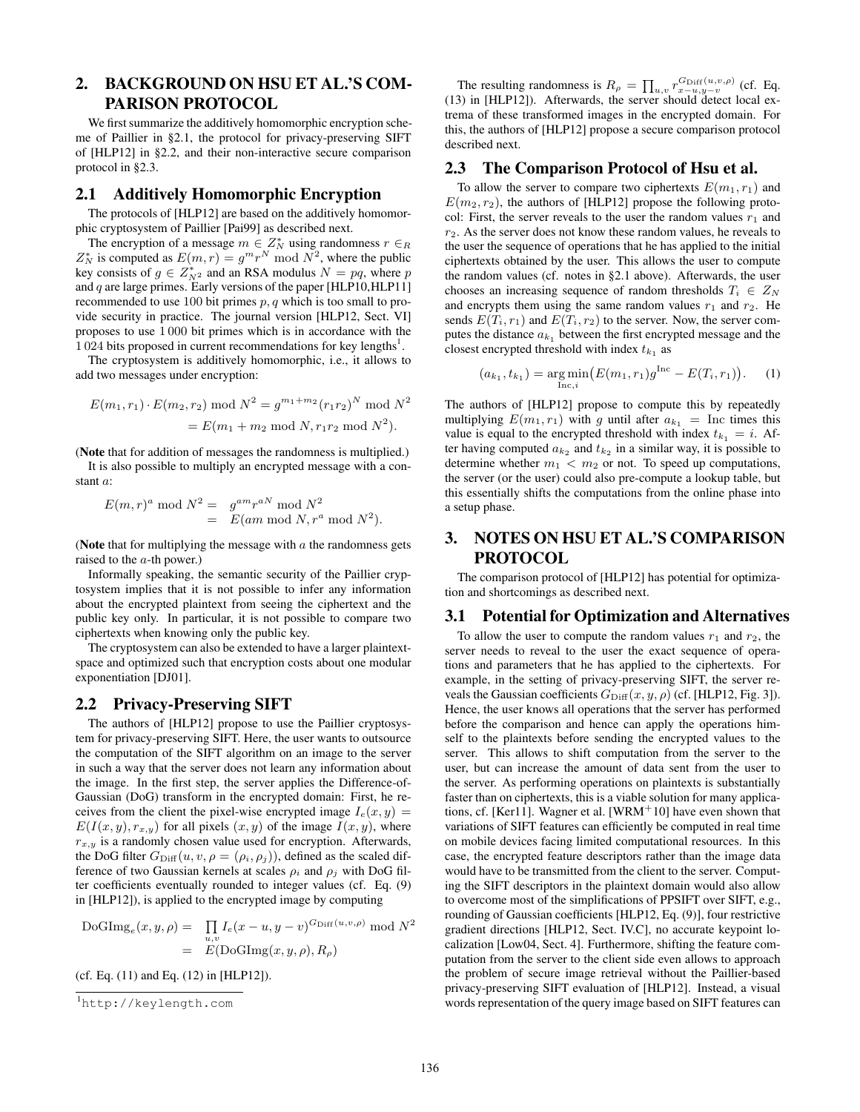# <span id="page-1-1"></span>2. BACKGROUND ON HSU ET AL.'S COM-PARISON PROTOCOL

We first summarize the additively homomorphic encryption scheme of Paillier in [§2.1,](#page-1-2) the protocol for privacy-preserving SIFT of [\[HLP12\]](#page-4-16) in [§2.2,](#page-1-3) and their non-interactive secure comparison protocol in [§2.3.](#page-1-4)

#### <span id="page-1-2"></span>2.1 Additively Homomorphic Encryption

The protocols of [\[HLP12\]](#page-4-16) are based on the additively homomorphic cryptosystem of Paillier [\[Pai99\]](#page-5-4) as described next.

The encryption of a message  $m \in \mathbb{Z}_N^*$  using randomness  $r \in_R \mathbb{Z}_N^*$  is computed as  $E(m, r) = g^m r^N \mod N^2$ , where the public key consists of  $g \in Z_{N^2}^*$  and an RSA modulus  $N = pq$ , where *p* and *q* are large primes. Early versions of the paper [\[HLP10](#page-4-17)[,HLP11\]](#page-4-18) recommended to use 100 bit primes *p, q* which is too small to provide security in practice. The journal version [\[HLP12,](#page-4-16) Sect. VI] proposes to use 1 000 bit primes which is in accordance with the  $1024$  $1024$  bits proposed in current recommendations for key lengths<sup>1</sup>.

The cryptosystem is additively homomorphic, i.e., it allows to add two messages under encryption:

$$
E(m_1, r_1) \cdot E(m_2, r_2) \bmod N^2 = g^{m_1 + m_2} (r_1 r_2)^N \bmod N^2
$$
  
= 
$$
E(m_1 + m_2 \bmod N, r_1 r_2 \bmod N^2).
$$

(Note that for addition of messages the randomness is multiplied.) It is also possible to multiply an encrypted message with a constant *a*:

$$
E(m,r)^a \bmod N^2 = g^{am}r^{aN} \bmod N^2
$$
  
= 
$$
E(am \bmod N, r^a \bmod N^2).
$$

(Note that for multiplying the message with *a* the randomness gets raised to the *a*-th power.)

Informally speaking, the semantic security of the Paillier cryptosystem implies that it is not possible to infer any information about the encrypted plaintext from seeing the ciphertext and the public key only. In particular, it is not possible to compare two ciphertexts when knowing only the public key.

The cryptosystem can also be extended to have a larger plaintextspace and optimized such that encryption costs about one modular exponentiation [\[DJ01\]](#page-4-19).

#### <span id="page-1-3"></span>2.2 Privacy-Preserving SIFT

The authors of [\[HLP12\]](#page-4-16) propose to use the Paillier cryptosystem for privacy-preserving SIFT. Here, the user wants to outsource the computation of the SIFT algorithm on an image to the server in such a way that the server does not learn any information about the image. In the first step, the server applies the Difference-of-Gaussian (DoG) transform in the encrypted domain: First, he receives from the client the pixel-wise encrypted image  $I_e(x, y) =$  $E(I(x, y), r_{x,y})$  for all pixels  $(x, y)$  of the image  $I(x, y)$ , where  $r_{x,y}$  is a randomly chosen value used for encryption. Afterwards, the DoG filter  $G_{\text{Diff}}(u, v, \rho = (\rho_i, \rho_j))$ , defined as the scaled difference of two Gaussian kernels at scales  $\rho_i$  and  $\rho_j$  with DoG filter coefficients eventually rounded to integer values (cf. Eq. (9) in [\[HLP12\]](#page-4-16)), is applied to the encrypted image by computing

 $\text{DoGImg}_e(x, y, \rho) = \prod I_e(x - u, y - v)^{G_{\text{Diff}}(u, v, \rho)} \text{ mod } N^2$  $=$ *E*(DoGImg $(x, y, \rho)$ ,  $R_{\rho}$ )

(cf. Eq. (11) and Eq. (12) in [\[HLP12\]](#page-4-16)).

The resulting randomness is  $R_{\rho} = \prod_{u,v} r_{x-u,y-v}^{G_{\text{Diff}}(u,v,\rho)}$  (cf. Eq. (13) in [\[HLP12\]](#page-4-16)). Afterwards, the server should detect local extrema of these transformed images in the encrypted domain. For this, the authors of [\[HLP12\]](#page-4-16) propose a secure comparison protocol described next.

#### <span id="page-1-4"></span>2.3 The Comparison Protocol of Hsu et al.

To allow the server to compare two ciphertexts  $E(m_1, r_1)$  and  $E(m_2, r_2)$ , the authors of [\[HLP12\]](#page-4-16) propose the following protocol: First, the server reveals to the user the random values  $r_1$  and *r*2. As the server does not know these random values, he reveals to the user the sequence of operations that he has applied to the initial ciphertexts obtained by the user. This allows the user to compute the random values (cf. notes in [§2.1](#page-1-2) above). Afterwards, the user chooses an increasing sequence of random thresholds  $T_i \in Z_N$ and encrypts them using the same random values  $r_1$  and  $r_2$ . He sends  $E(T_i, r_1)$  and  $E(T_i, r_2)$  to the server. Now, the server computes the distance  $a_{k_1}$  between the first encrypted message and the closest encrypted threshold with index  $t_{k_1}$  as

<span id="page-1-6"></span>
$$
(a_{k_1}, t_{k_1}) = \underset{\text{Inc}, i}{\arg \min} (E(m_1, r_1) g^{\text{Inc}} - E(T_i, r_1)). \tag{1}
$$

The authors of [\[HLP12\]](#page-4-16) propose to compute this by repeatedly multiplying  $E(m_1, r_1)$  with *g* until after  $a_{k_1} = \text{Inc times this}$ value is equal to the encrypted threshold with index  $t_{k_1} = i$ . After having computed  $a_{k_2}$  and  $t_{k_2}$  in a similar way, it is possible to determine whether  $m_1 < m_2$  or not. To speed up computations, the server (or the user) could also pre-compute a lookup table, but this essentially shifts the computations from the online phase into a setup phase.

## <span id="page-1-0"></span>3. NOTES ON HSU ET AL.'S COMPARISON PROTOCOL

The comparison protocol of [\[HLP12\]](#page-4-16) has potential for optimization and shortcomings as described next.

#### 3.1 Potential for Optimization and Alternatives

To allow the user to compute the random values  $r_1$  and  $r_2$ , the server needs to reveal to the user the exact sequence of operations and parameters that he has applied to the ciphertexts. For example, in the setting of privacy-preserving SIFT, the server reveals the Gaussian coefficients  $G_{\text{Diff}}(x, y, \rho)$  (cf. [\[HLP12,](#page-4-16) Fig. 3]). Hence, the user knows all operations that the server has performed before the comparison and hence can apply the operations himself to the plaintexts before sending the encrypted values to the server. This allows to shift computation from the server to the user, but can increase the amount of data sent from the user to the server. As performing operations on plaintexts is substantially faster than on ciphertexts, this is a viable solution for many applica-tions, cf. [\[Ker11\]](#page-4-20). Wagner et al. [\[WRM](#page-5-5)<sup>+</sup>10] have even shown that variations of SIFT features can efficiently be computed in real time on mobile devices facing limited computational resources. In this case, the encrypted feature descriptors rather than the image data would have to be transmitted from the client to the server. Computing the SIFT descriptors in the plaintext domain would also allow to overcome most of the simplifications of PPSIFT over SIFT, e.g., rounding of Gaussian coefficients [\[HLP12,](#page-4-16) Eq. (9)], four restrictive gradient directions [\[HLP12,](#page-4-16) Sect. IV.C], no accurate keypoint localization [\[Low04,](#page-4-21) Sect. 4]. Furthermore, shifting the feature computation from the server to the client side even allows to approach the problem of secure image retrieval without the Paillier-based privacy-preserving SIFT evaluation of [\[HLP12\]](#page-4-16). Instead, a visual words representation of the query image based on SIFT features can

<span id="page-1-5"></span><sup>1</sup> <http://keylength.com>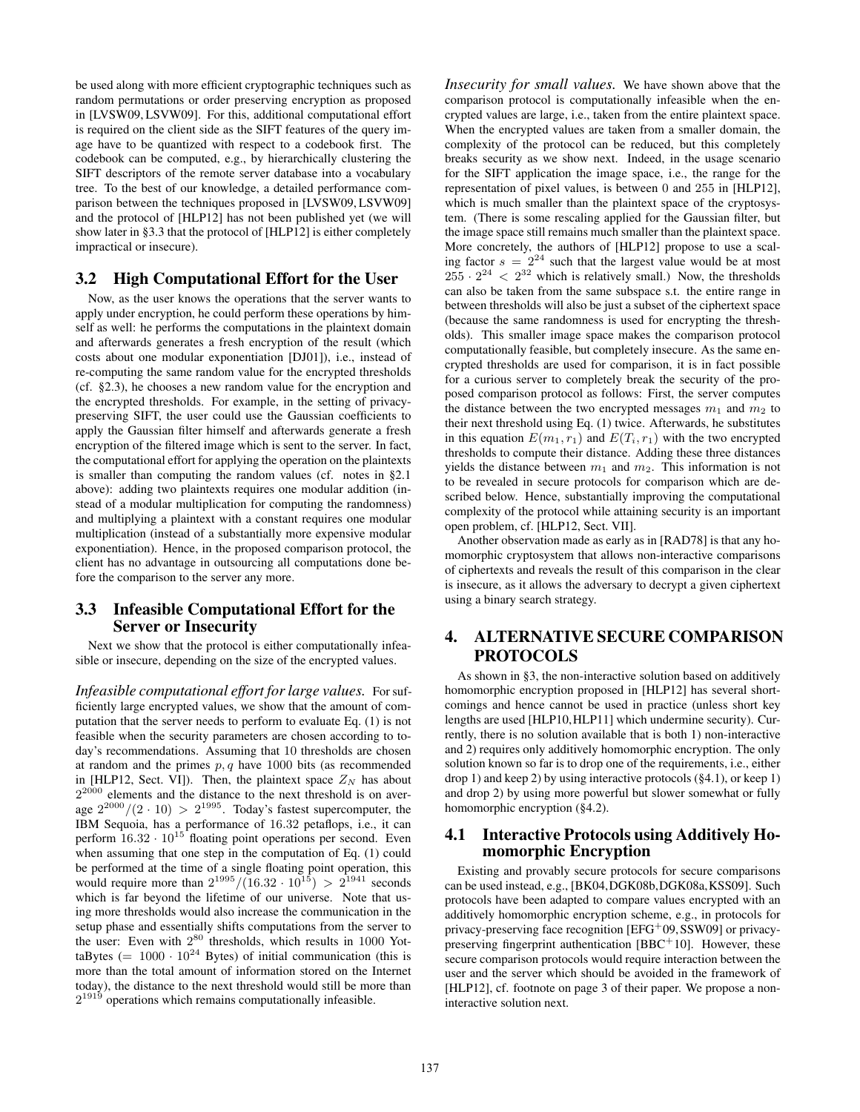be used along with more efficient cryptographic techniques such as random permutations or order preserving encryption as proposed in [\[LVSW09,](#page-4-22) [LSVW09\]](#page-4-23). For this, additional computational effort is required on the client side as the SIFT features of the query image have to be quantized with respect to a codebook first. The codebook can be computed, e.g., by hierarchically clustering the SIFT descriptors of the remote server database into a vocabulary tree. To the best of our knowledge, a detailed performance comparison between the techniques proposed in [\[LVSW09,](#page-4-22) [LSVW09\]](#page-4-23) and the protocol of [\[HLP12\]](#page-4-16) has not been published yet (we will show later in [§3.3](#page-2-1) that the protocol of [\[HLP12\]](#page-4-16) is either completely impractical or insecure).

#### 3.2 High Computational Effort for the User

Now, as the user knows the operations that the server wants to apply under encryption, he could perform these operations by himself as well: he performs the computations in the plaintext domain and afterwards generates a fresh encryption of the result (which costs about one modular exponentiation [\[DJ01\]](#page-4-19)), i.e., instead of re-computing the same random value for the encrypted thresholds (cf. [§2.3\)](#page-1-4), he chooses a new random value for the encryption and the encrypted thresholds. For example, in the setting of privacypreserving SIFT, the user could use the Gaussian coefficients to apply the Gaussian filter himself and afterwards generate a fresh encryption of the filtered image which is sent to the server. In fact, the computational effort for applying the operation on the plaintexts is smaller than computing the random values (cf. notes in [§2.1](#page-1-2) above): adding two plaintexts requires one modular addition (instead of a modular multiplication for computing the randomness) and multiplying a plaintext with a constant requires one modular multiplication (instead of a substantially more expensive modular exponentiation). Hence, in the proposed comparison protocol, the client has no advantage in outsourcing all computations done before the comparison to the server any more.

## <span id="page-2-1"></span>3.3 Infeasible Computational Effort for the Server or Insecurity

Next we show that the protocol is either computationally infeasible or insecure, depending on the size of the encrypted values.

*Infeasible computational effort for large values.* For sufficiently large encrypted values, we show that the amount of computation that the server needs to perform to evaluate Eq. [\(1\)](#page-1-6) is not feasible when the security parameters are chosen according to today's recommendations. Assuming that 10 thresholds are chosen at random and the primes *p, q* have 1000 bits (as recommended in [\[HLP12,](#page-4-16) Sect. VI]). Then, the plaintext space  $Z_N$  has about  $2^{2000}$  elements and the distance to the next threshold is on aver- $2^{2000}$  elements and the distance to the next threshold is on average  $2^{2000}/(2 \cdot 10) > 2^{1995}$ . Today's fastest supercomputer, the IBM Sequoia, has a performance of 16*.*32 petaflops, i.e., it can perform  $16.32 \cdot 10^{15}$  floating point operations per second. Even when assuming that one step in the computation of Eq. [\(1\)](#page-1-6) could be performed at the time of a single floating point operation, this would require more than  $2^{1995} / (16.32 \cdot 10^{15}) > 2^{1941}$  seconds which is far beyond the lifetime of our universe. Note that using more thresholds would also increase the communication in the setup phase and essentially shifts computations from the server to the user: Even with  $2^{80}$  thresholds, which results in 1000 YottaBytes ( $= 1000 \cdot 10^{24}$  Bytes) of initial communication (this is more than the total amount of information stored on the Internet today), the distance to the next threshold would still be more than  $2^{1919}$  operations which remains computationally infeasible.

*Insecurity for small values.* We have shown above that the comparison protocol is computationally infeasible when the encrypted values are large, i.e., taken from the entire plaintext space. When the encrypted values are taken from a smaller domain, the complexity of the protocol can be reduced, but this completely breaks security as we show next. Indeed, in the usage scenario for the SIFT application the image space, i.e., the range for the representation of pixel values, is between 0 and 255 in [\[HLP12\]](#page-4-16), which is much smaller than the plaintext space of the cryptosystem. (There is some rescaling applied for the Gaussian filter, but the image space still remains much smaller than the plaintext space. More concretely, the authors of [\[HLP12\]](#page-4-16) propose to use a scaling factor  $s = 2^{24}$  such that the largest value would be at most  $255 \cdot 2^{24} < 2^{32}$  which is relatively small.) Now, the thresholds can also be taken from the same subspace s.t. the entire range in between thresholds will also be just a subset of the ciphertext space (because the same randomness is used for encrypting the thresholds). This smaller image space makes the comparison protocol computationally feasible, but completely insecure. As the same encrypted thresholds are used for comparison, it is in fact possible for a curious server to completely break the security of the proposed comparison protocol as follows: First, the server computes the distance between the two encrypted messages  $m_1$  and  $m_2$  to their next threshold using Eq. [\(1\)](#page-1-6) twice. Afterwards, he substitutes in this equation  $E(m_1, r_1)$  and  $E(T_i, r_1)$  with the two encrypted thresholds to compute their distance. Adding these three distances yields the distance between  $m_1$  and  $m_2$ . This information is not to be revealed in secure protocols for comparison which are described below. Hence, substantially improving the computational complexity of the protocol while attaining security is an important open problem, cf. [\[HLP12,](#page-4-16) Sect. VII].

Another observation made as early as in [\[RAD78\]](#page-5-6) is that any homomorphic cryptosystem that allows non-interactive comparisons of ciphertexts and reveals the result of this comparison in the clear is insecure, as it allows the adversary to decrypt a given ciphertext using a binary search strategy.

# <span id="page-2-0"></span>4. ALTERNATIVE SECURE COMPARISON **PROTOCOLS**

As shown in [§3,](#page-1-0) the non-interactive solution based on additively homomorphic encryption proposed in [\[HLP12\]](#page-4-16) has several shortcomings and hence cannot be used in practice (unless short key lengths are used [\[HLP10,](#page-4-17)[HLP11\]](#page-4-18) which undermine security). Currently, there is no solution available that is both 1) non-interactive and 2) requires only additively homomorphic encryption. The only solution known so far is to drop one of the requirements, i.e., either drop 1) and keep 2) by using interactive protocols ([§4.1\)](#page-2-2), or keep 1) and drop 2) by using more powerful but slower somewhat or fully homomorphic encryption ([§4.2\)](#page-3-7).

## <span id="page-2-2"></span>4.1 Interactive Protocols using Additively Homomorphic Encryption

Existing and provably secure protocols for secure comparisons can be used instead, e.g., [\[BK04,](#page-3-0)[DGK08b,](#page-4-2)[DGK08a,](#page-4-3)[KSS09\]](#page-4-4). Such protocols have been adapted to compare values encrypted with an additively homomorphic encryption scheme, e.g., in protocols for privacy-preserving face recognition [\[EFG](#page-4-5)<sup>+</sup>09[, SSW09\]](#page-5-1) or privacypreserving fingerprint authentication  $[BBC<sup>+</sup>10]$  $[BBC<sup>+</sup>10]$ . However, these secure comparison protocols would require interaction between the user and the server which should be avoided in the framework of [\[HLP12\]](#page-4-16), cf. footnote on page 3 of their paper. We propose a noninteractive solution next.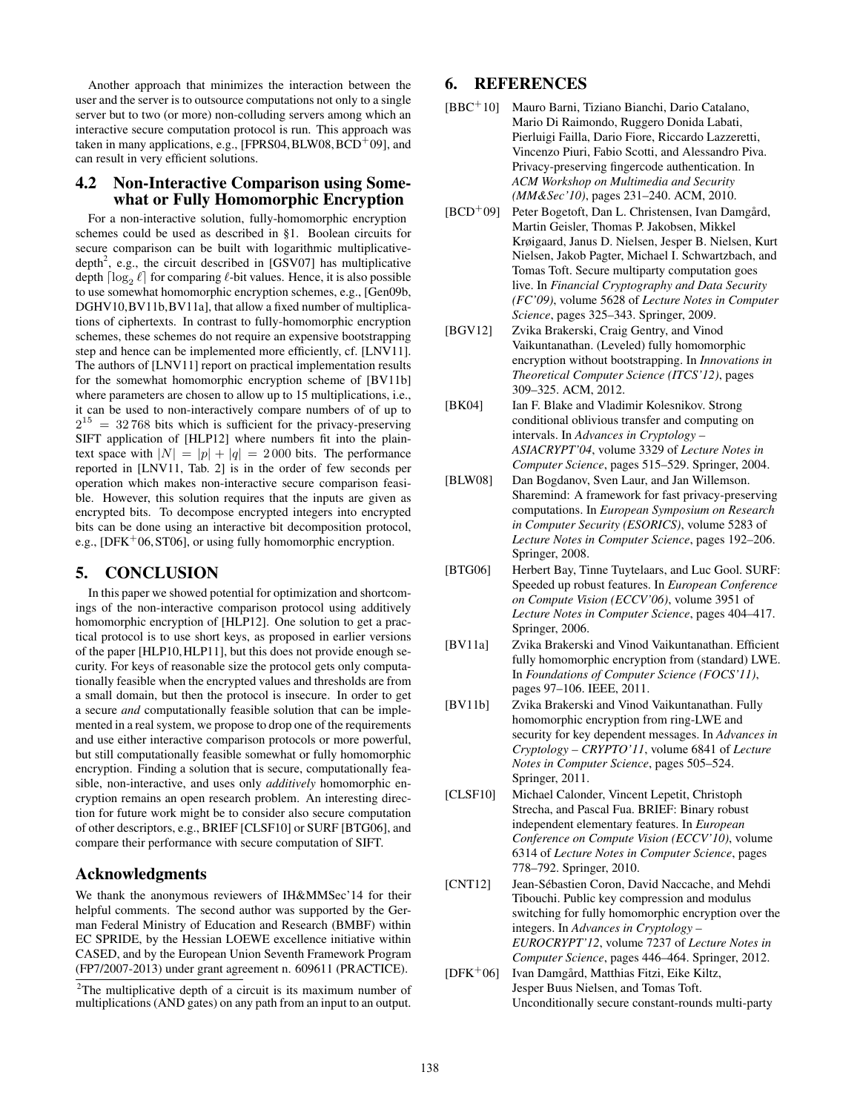Another approach that minimizes the interaction between the user and the server is to outsource computations not only to a single server but to two (or more) non-colluding servers among which an interactive secure computation protocol is run. This approach was taken in many applications, e.g.,  $[FPRS04, BLW08, BCD<sup>+</sup>09]$  $[FPRS04, BLW08, BCD<sup>+</sup>09]$  $[FPRS04, BLW08, BCD<sup>+</sup>09]$  $[FPRS04, BLW08, BCD<sup>+</sup>09]$  $[FPRS04, BLW08, BCD<sup>+</sup>09]$  $[FPRS04, BLW08, BCD<sup>+</sup>09]$ , and can result in very efficient solutions.

#### <span id="page-3-7"></span>4.2 Non-Interactive Comparison using Somewhat or Fully Homomorphic Encryption

For a non-interactive solution, fully-homomorphic encryption schemes could be used as described in [§1.](#page-0-0) Boolean circuits for secure comparison can be built with logarithmic multiplicative-depth<sup>[2](#page-3-10)</sup>, e.g., the circuit described in [\[GSV07\]](#page-4-25) has multiplicative depth  $\lceil \log_2 \ell \rceil$  for comparing  $\ell$ -bit values. Hence, it is also possible to use somewhat homomorphic encryption schemes, e.g., [\[Gen09b,](#page-4-9) [DGHV10,](#page-4-10)[BV11b,](#page-3-2)[BV11a\]](#page-3-3), that allow a fixed number of multiplications of ciphertexts. In contrast to fully-homomorphic encryption schemes, these schemes do not require an expensive bootstrapping step and hence can be implemented more efficiently, cf. [\[LNV11\]](#page-4-14). The authors of [\[LNV11\]](#page-4-14) report on practical implementation results for the somewhat homomorphic encryption scheme of [\[BV11b\]](#page-3-2) where parameters are chosen to allow up to 15 multiplications, i.e., it can be used to non-interactively compare numbers of of up to  $2^{15}$  = 32 768 bits which is sufficient for the privacy-preserving SIFT application of [\[HLP12\]](#page-4-16) where numbers fit into the plaintext space with  $|N| = |p| + |q| = 2000$  bits. The performance reported in [\[LNV11,](#page-4-14) Tab. 2] is in the order of few seconds per operation which makes non-interactive secure comparison feasible. However, this solution requires that the inputs are given as encrypted bits. To decompose encrypted integers into encrypted bits can be done using an interactive bit decomposition protocol, e.g.,  $[DFK<sup>+</sup>06, ST06]$  $[DFK<sup>+</sup>06, ST06]$  $[DFK<sup>+</sup>06, ST06]$ , or using fully homomorphic encryption.

#### <span id="page-3-6"></span>5. CONCLUSION

In this paper we showed potential for optimization and shortcomings of the non-interactive comparison protocol using additively homomorphic encryption of [\[HLP12\]](#page-4-16). One solution to get a practical protocol is to use short keys, as proposed in earlier versions of the paper [\[HLP10,](#page-4-17)[HLP11\]](#page-4-18), but this does not provide enough security. For keys of reasonable size the protocol gets only computationally feasible when the encrypted values and thresholds are from a small domain, but then the protocol is insecure. In order to get a secure *and* computationally feasible solution that can be implemented in a real system, we propose to drop one of the requirements and use either interactive comparison protocols or more powerful, but still computationally feasible somewhat or fully homomorphic encryption. Finding a solution that is secure, computationally feasible, non-interactive, and uses only *additively* homomorphic encryption remains an open research problem. An interesting direction for future work might be to consider also secure computation of other descriptors, e.g., BRIEF [\[CLSF10\]](#page-3-12) or SURF [\[BTG06\]](#page-3-13), and compare their performance with secure computation of SIFT.

#### Acknowledgments

We thank the anonymous reviewers of IH&MMSec'14 for their helpful comments. The second author was supported by the German Federal Ministry of Education and Research (BMBF) within EC SPRIDE, by the Hessian LOEWE excellence initiative within CASED, and by the European Union Seventh Framework Program (FP7/2007-2013) under grant agreement n. 609611 (PRACTICE).

## 6. REFERENCES

- <span id="page-3-1"></span>[BBC<sup>+</sup>10] Mauro Barni, Tiziano Bianchi, Dario Catalano, Mario Di Raimondo, Ruggero Donida Labati, Pierluigi Failla, Dario Fiore, Riccardo Lazzeretti, Vincenzo Piuri, Fabio Scotti, and Alessandro Piva. Privacy-preserving fingercode authentication. In *ACM Workshop on Multimedia and Security (MM&Sec'10)*, pages 231–240. ACM, 2010.
- <span id="page-3-9"></span>[BCD<sup>+</sup>09] Peter Bogetoft, Dan L. Christensen, Ivan Damgård, Martin Geisler, Thomas P. Jakobsen, Mikkel Krøigaard, Janus D. Nielsen, Jesper B. Nielsen, Kurt Nielsen, Jakob Pagter, Michael I. Schwartzbach, and Tomas Toft. Secure multiparty computation goes live. In *Financial Cryptography and Data Security (FC'09)*, volume 5628 of *Lecture Notes in Computer Science*, pages 325–343. Springer, 2009.
- <span id="page-3-5"></span>[BGV12] Zvika Brakerski, Craig Gentry, and Vinod Vaikuntanathan. (Leveled) fully homomorphic encryption without bootstrapping. In *Innovations in Theoretical Computer Science (ITCS'12)*, pages 309–325. ACM, 2012.
- <span id="page-3-0"></span>[BK04] Ian F. Blake and Vladimir Kolesnikov. Strong conditional oblivious transfer and computing on intervals. In *Advances in Cryptology – ASIACRYPT'04*, volume 3329 of *Lecture Notes in Computer Science*, pages 515–529. Springer, 2004.
- <span id="page-3-8"></span>[BLW08] Dan Bogdanov, Sven Laur, and Jan Willemson. Sharemind: A framework for fast privacy-preserving computations. In *European Symposium on Research in Computer Security (ESORICS)*, volume 5283 of *Lecture Notes in Computer Science*, pages 192–206. Springer, 2008.
- <span id="page-3-13"></span>[BTG06] Herbert Bay, Tinne Tuytelaars, and Luc Gool. SURF: Speeded up robust features. In *European Conference on Compute Vision (ECCV'06)*, volume 3951 of *Lecture Notes in Computer Science*, pages 404–417. Springer, 2006.
- <span id="page-3-3"></span>[BV11a] Zvika Brakerski and Vinod Vaikuntanathan. Efficient fully homomorphic encryption from (standard) LWE. In *Foundations of Computer Science (FOCS'11)*, pages 97–106. IEEE, 2011.
- <span id="page-3-2"></span>[BV11b] Zvika Brakerski and Vinod Vaikuntanathan. Fully homomorphic encryption from ring-LWE and security for key dependent messages. In *Advances in Cryptology – CRYPTO'11*, volume 6841 of *Lecture Notes in Computer Science*, pages 505–524. Springer, 2011.
- <span id="page-3-12"></span>[CLSF10] Michael Calonder, Vincent Lepetit, Christoph Strecha, and Pascal Fua. BRIEF: Binary robust independent elementary features. In *European Conference on Compute Vision (ECCV'10)*, volume 6314 of *Lecture Notes in Computer Science*, pages 778–792. Springer, 2010.
- <span id="page-3-4"></span>[CNT12] Jean-Sébastien Coron, David Naccache, and Mehdi Tibouchi. Public key compression and modulus switching for fully homomorphic encryption over the integers. In *Advances in Cryptology – EUROCRYPT'12*, volume 7237 of *Lecture Notes in Computer Science*, pages 446–464. Springer, 2012.
- <span id="page-3-11"></span>[DFK<sup>+</sup>06] Ivan Damgård, Matthias Fitzi, Eike Kiltz, Jesper Buus Nielsen, and Tomas Toft. Unconditionally secure constant-rounds multi-party

<span id="page-3-10"></span> $2$ The multiplicative depth of a circuit is its maximum number of multiplications (AND gates) on any path from an input to an output.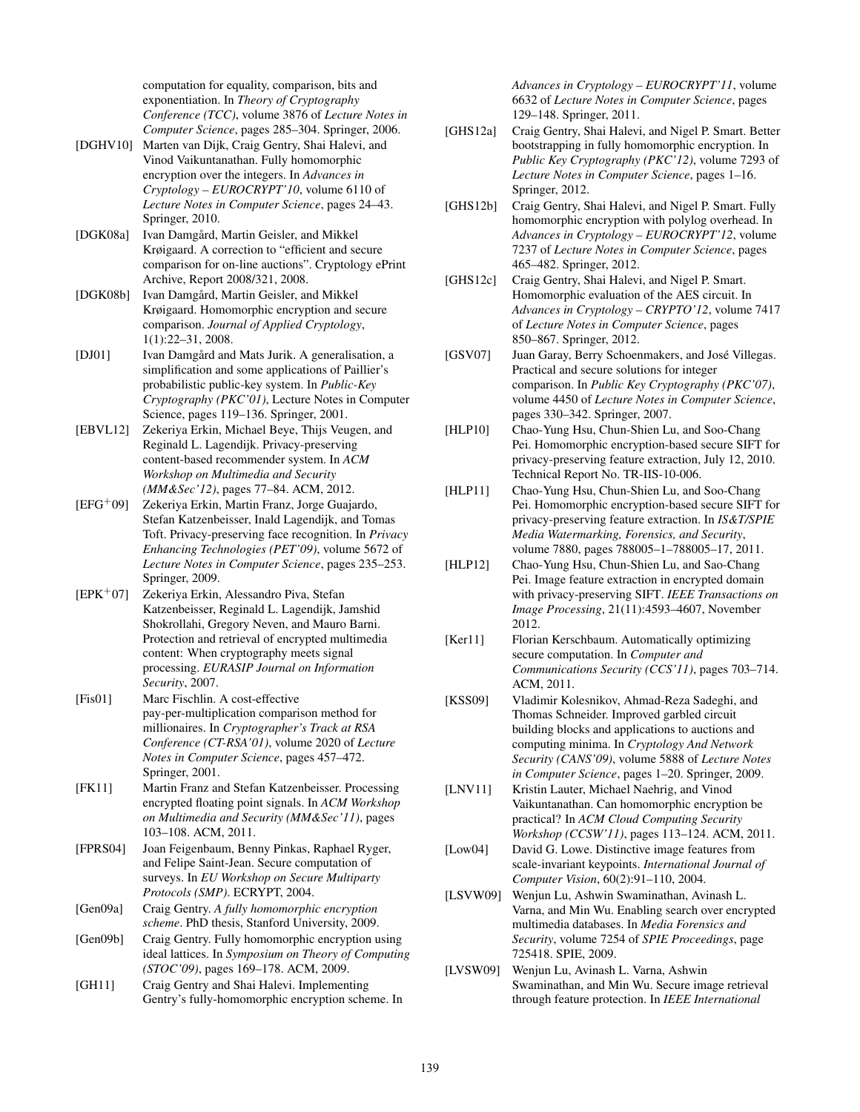computation for equality, comparison, bits and exponentiation. In *Theory of Cryptography Conference (TCC)*, volume 3876 of *Lecture Notes in Computer Science*, pages 285–304. Springer, 2006.

- <span id="page-4-10"></span>[DGHV10] Marten van Dijk, Craig Gentry, Shai Halevi, and Vinod Vaikuntanathan. Fully homomorphic encryption over the integers. In *Advances in Cryptology – EUROCRYPT'10*, volume 6110 of *Lecture Notes in Computer Science*, pages 24–43. Springer, 2010.
- <span id="page-4-3"></span>[DGK08a] Ivan Damgård, Martin Geisler, and Mikkel Krøigaard. A correction to "efficient and secure comparison for on-line auctions". Cryptology ePrint Archive, Report 2008/321, 2008.
- <span id="page-4-2"></span>[DGK08b] Ivan Damgård, Martin Geisler, and Mikkel Krøigaard. Homomorphic encryption and secure comparison. *Journal of Applied Cryptology*, 1(1):22–31, 2008.
- <span id="page-4-19"></span>[DJ01] Ivan Damgård and Mats Jurik. A generalisation, a simplification and some applications of Paillier's probabilistic public-key system. In *Public-Key Cryptography (PKC'01)*, Lecture Notes in Computer Science, pages 119–136. Springer, 2001.
- <span id="page-4-7"></span>[EBVL12] Zekeriya Erkin, Michael Beye, Thijs Veugen, and Reginald L. Lagendijk. Privacy-preserving content-based recommender system. In *ACM Workshop on Multimedia and Security (MM&Sec'12)*, pages 77–84. ACM, 2012.
- <span id="page-4-5"></span> $[EFG^+09]$  Zekeriya Erkin, Martin Franz, Jorge Guajardo, Stefan Katzenbeisser, Inald Lagendijk, and Tomas Toft. Privacy-preserving face recognition. In *Privacy Enhancing Technologies (PET'09)*, volume 5672 of *Lecture Notes in Computer Science*, pages 235–253. Springer, 2009.
- <span id="page-4-0"></span>[EPK<sup>+</sup>07] Zekeriya Erkin, Alessandro Piva, Stefan Katzenbeisser, Reginald L. Lagendijk, Jamshid Shokrollahi, Gregory Neven, and Mauro Barni. Protection and retrieval of encrypted multimedia content: When cryptography meets signal processing. *EURASIP Journal on Information Security*, 2007.
- <span id="page-4-1"></span>[Fis01] Marc Fischlin. A cost-effective pay-per-multiplication comparison method for millionaires. In *Cryptographer's Track at RSA Conference (CT-RSA'01)*, volume 2020 of *Lecture Notes in Computer Science*, pages 457–472. Springer, 2001.
- <span id="page-4-6"></span>[FK11] Martin Franz and Stefan Katzenbeisser. Processing encrypted floating point signals. In *ACM Workshop on Multimedia and Security (MM&Sec'11)*, pages 103–108. ACM, 2011.
- <span id="page-4-24"></span>[FPRS04] Joan Feigenbaum, Benny Pinkas, Raphael Ryger, and Felipe Saint-Jean. Secure computation of surveys. In *EU Workshop on Secure Multiparty Protocols (SMP)*. ECRYPT, 2004.
- <span id="page-4-8"></span>[Gen09a] Craig Gentry. *A fully homomorphic encryption scheme*. PhD thesis, Stanford University, 2009.
- <span id="page-4-9"></span>[Gen09b] Craig Gentry. Fully homomorphic encryption using ideal lattices. In *Symposium on Theory of Computing (STOC'09)*, pages 169–178. ACM, 2009.
- <span id="page-4-13"></span>[GH11] Craig Gentry and Shai Halevi. Implementing Gentry's fully-homomorphic encryption scheme. In

*Advances in Cryptology – EUROCRYPT'11*, volume 6632 of *Lecture Notes in Computer Science*, pages 129–148. Springer, 2011.

- <span id="page-4-11"></span>[GHS12a] Craig Gentry, Shai Halevi, and Nigel P. Smart. Better bootstrapping in fully homomorphic encryption. In *Public Key Cryptography (PKC'12)*, volume 7293 of *Lecture Notes in Computer Science*, pages 1–16. Springer, 2012.
- <span id="page-4-12"></span>[GHS12b] Craig Gentry, Shai Halevi, and Nigel P. Smart. Fully homomorphic encryption with polylog overhead. In *Advances in Cryptology – EUROCRYPT'12*, volume 7237 of *Lecture Notes in Computer Science*, pages 465–482. Springer, 2012.
- <span id="page-4-15"></span>[GHS12c] Craig Gentry, Shai Halevi, and Nigel P. Smart. Homomorphic evaluation of the AES circuit. In *Advances in Cryptology – CRYPTO'12*, volume 7417 of *Lecture Notes in Computer Science*, pages 850–867. Springer, 2012.
- <span id="page-4-25"></span>[GSV07] Juan Garay, Berry Schoenmakers, and José Villegas. Practical and secure solutions for integer comparison. In *Public Key Cryptography (PKC'07)*, volume 4450 of *Lecture Notes in Computer Science*, pages 330–342. Springer, 2007.
- <span id="page-4-17"></span>[HLP10] Chao-Yung Hsu, Chun-Shien Lu, and Soo-Chang Pei. Homomorphic encryption-based secure SIFT for privacy-preserving feature extraction, July 12, 2010. Technical Report No. TR-IIS-10-006.
- <span id="page-4-18"></span>[HLP11] Chao-Yung Hsu, Chun-Shien Lu, and Soo-Chang Pei. Homomorphic encryption-based secure SIFT for privacy-preserving feature extraction. In *IS&T/SPIE Media Watermarking, Forensics, and Security*, volume 7880, pages 788005–1–788005–17, 2011.
- <span id="page-4-16"></span>[HLP12] Chao-Yung Hsu, Chun-Shien Lu, and Sao-Chang Pei. Image feature extraction in encrypted domain with privacy-preserving SIFT. *IEEE Transactions on Image Processing*, 21(11):4593–4607, November 2012.
- <span id="page-4-20"></span>[Ker11] Florian Kerschbaum. Automatically optimizing secure computation. In *Computer and Communications Security (CCS'11)*, pages 703–714. ACM, 2011.
- <span id="page-4-4"></span>[KSS09] Vladimir Kolesnikov, Ahmad-Reza Sadeghi, and Thomas Schneider. Improved garbled circuit building blocks and applications to auctions and computing minima. In *Cryptology And Network Security (CANS'09)*, volume 5888 of *Lecture Notes in Computer Science*, pages 1–20. Springer, 2009.
- <span id="page-4-14"></span>[LNV11] Kristin Lauter, Michael Naehrig, and Vinod Vaikuntanathan. Can homomorphic encryption be practical? In *ACM Cloud Computing Security Workshop (CCSW'11)*, pages 113–124. ACM, 2011.
- <span id="page-4-21"></span>[Low04] David G. Lowe. Distinctive image features from scale-invariant keypoints. *International Journal of Computer Vision*, 60(2):91–110, 2004.
- <span id="page-4-23"></span>[LSVW09] Wenjun Lu, Ashwin Swaminathan, Avinash L. Varna, and Min Wu. Enabling search over encrypted multimedia databases. In *Media Forensics and Security*, volume 7254 of *SPIE Proceedings*, page 725418. SPIE, 2009.
- <span id="page-4-22"></span>[LVSW09] Wenjun Lu, Avinash L. Varna, Ashwin Swaminathan, and Min Wu. Secure image retrieval through feature protection. In *IEEE International*